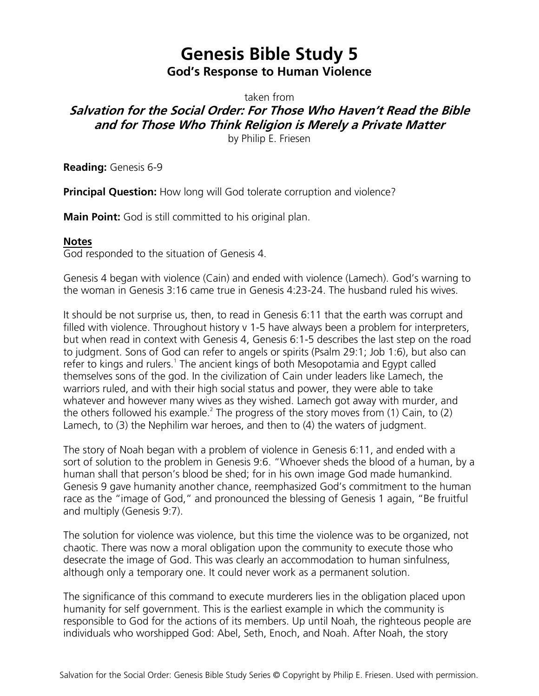## **Genesis Bible Study 5 God's Response to Human Violence**

taken from

## **Salvation for the Social Order: For Those Who Haven't Read the Bible and for Those Who Think Religion is Merely a Private Matter**

by Philip E. Friesen

**Reading:** Genesis 6-9

**Principal Question:** How long will God tolerate corruption and violence?

**Main Point:** God is still committed to his original plan.

## **Notes**

God responded to the situation of Genesis 4.

Genesis 4 began with violence (Cain) and ended with violence (Lamech). God's warning to the woman in Genesis 3:16 came true in Genesis 4:23-24. The husband ruled his wives.

It should be not surprise us, then, to read in Genesis 6:11 that the earth was corrupt and filled with violence. Throughout history v 1-5 have always been a problem for interpreters, but when read in context with Genesis 4, Genesis 6:1-5 describes the last step on the road to judgment. Sons of God can refer to angels or spirits (Psalm 29:1; Job 1:6), but also can refer to kings and rulers.<sup>1</sup> The ancient kings of both Mesopotamia and Egypt called themselves sons of the god. In the civilization of Cain under leaders like Lamech, the warriors ruled, and with their high social status and power, they were able to take whatever and however many wives as they wished. Lamech got away with murder, and the others followed his example.<sup>2</sup> The progress of the story moves from (1) Cain, to (2) Lamech, to (3) the Nephilim war heroes, and then to (4) the waters of judgment.

The story of Noah began with a problem of violence in Genesis 6:11, and ended with a sort of solution to the problem in Genesis 9:6. "Whoever sheds the blood of a human, by a human shall that person's blood be shed; for in his own image God made humankind. Genesis 9 gave humanity another chance, reemphasized God's commitment to the human race as the "image of God," and pronounced the blessing of Genesis 1 again, "Be fruitful and multiply (Genesis 9:7).

The solution for violence was violence, but this time the violence was to be organized, not chaotic. There was now a moral obligation upon the community to execute those who desecrate the image of God. This was clearly an accommodation to human sinfulness, although only a temporary one. It could never work as a permanent solution.

The significance of this command to execute murderers lies in the obligation placed upon humanity for self government. This is the earliest example in which the community is responsible to God for the actions of its members. Up until Noah, the righteous people are individuals who worshipped God: Abel, Seth, Enoch, and Noah. After Noah, the story